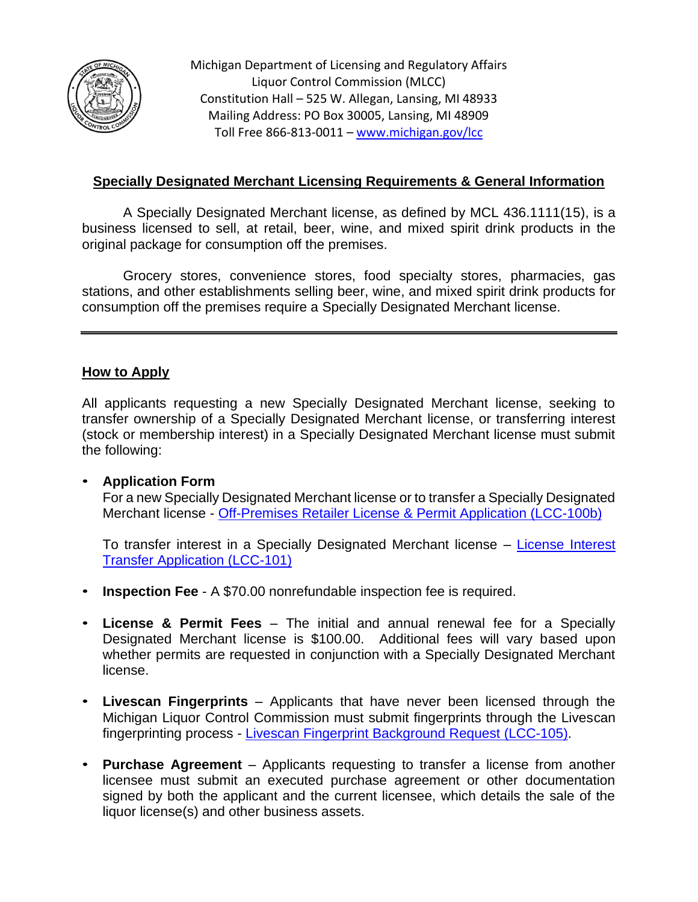

Michigan Department of Licensing and Regulatory Affairs Liquor Control Commission (MLCC) Constitution Hall – 525 W. Allegan, Lansing, MI 48933 Mailing Address: PO Box 30005, Lansing, MI 48909 Toll Free 866-813-0011 – [www.michigan.gov/lcc](http://www.michigan.gov/lcc)

# **Specially Designated Merchant Licensing Requirements & General Information**

A Specially Designated Merchant license, as defined by MCL 436.1111(15), is a business licensed to sell, at retail, beer, wine, and mixed spirit drink products in the original package for consumption off the premises.

Grocery stores, convenience stores, food specialty stores, pharmacies, gas stations, and other establishments selling beer, wine, and mixed spirit drink products for consumption off the premises require a Specially Designated Merchant license.

### **How to Apply**

All applicants requesting a new Specially Designated Merchant license, seeking to transfer ownership of a Specially Designated Merchant license, or transferring interest (stock or membership interest) in a Specially Designated Merchant license must submit the following:

# • **Application Form** For a new Specially Designated Merchant license or to transfer a Specially Designated Merchant license - Off-Premises Retailer [License & Permit Application \(LCC-100b\)](https://www.michigan.gov/lara/-/media/Project/Websites/lara/lcc/Retailer-Forms/OffPremises-Retailer-License--Permit-Application-LCC100b.pdf)

To transfer interest in a Specially Designated Merchant license – License Interest [Transfer Application \(LCC-101\)](https://www.michigan.gov/lara/-/media/Project/Websites/lara/lcc/General-Forms/License-Interest-Transfer-Application-LCC101.pdf)

- **Inspection Fee** A \$70.00 nonrefundable inspection fee is required.
- **License & Permit Fees** The initial and annual renewal fee for a Specially Designated Merchant license is \$100.00. Additional fees will vary based upon whether permits are requested in conjunction with a Specially Designated Merchant license.
- **Livescan Fingerprints** Applicants that have never been licensed through the Michigan Liquor Control Commission must submit fingerprints through the Livescan fingerprinting process - [Livescan Fingerprint Background Request \(LCC-105\).](https://www.michigan.gov/lara/-/media/Project/Websites/lara/lcc/General-Forms/Livescan-Fingerprint-Background-Request-LCC105.pdf)
- **Purchase Agreement** Applicants requesting to transfer a license from another licensee must submit an executed purchase agreement or other documentation signed by both the applicant and the current licensee, which details the sale of the liquor license(s) and other business assets.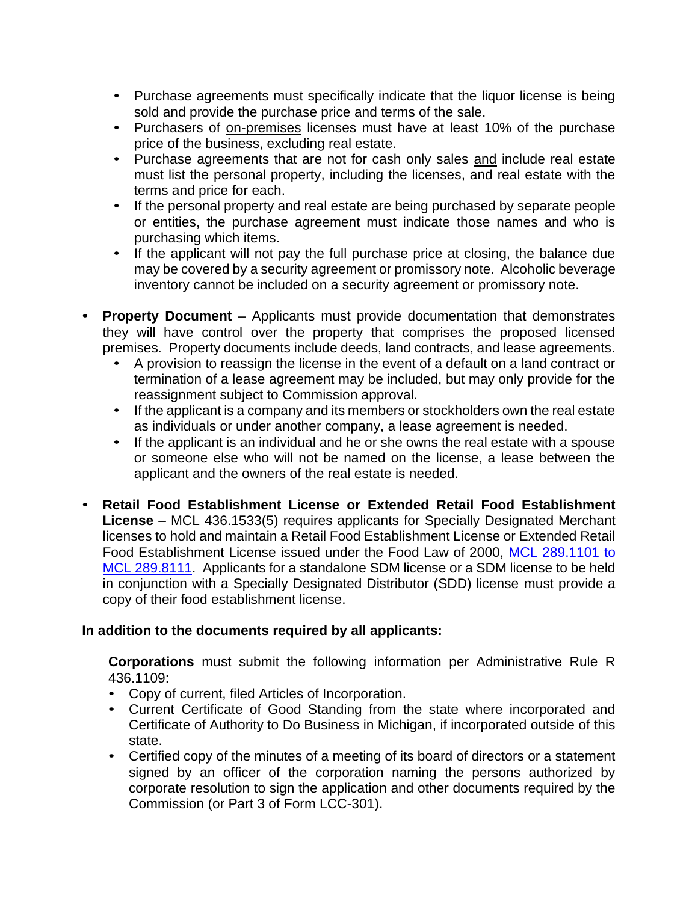- Purchase agreements must specifically indicate that the liquor license is being sold and provide the purchase price and terms of the sale.
- Purchasers of on-premises licenses must have at least 10% of the purchase price of the business, excluding real estate.
- Purchase agreements that are not for cash only sales and include real estate must list the personal property, including the licenses, and real estate with the terms and price for each.
- If the personal property and real estate are being purchased by separate people or entities, the purchase agreement must indicate those names and who is purchasing which items.
- If the applicant will not pay the full purchase price at closing, the balance due may be covered by a security agreement or promissory note. Alcoholic beverage inventory cannot be included on a security agreement or promissory note.
- **Property Document** Applicants must provide documentation that demonstrates they will have control over the property that comprises the proposed licensed premises. Property documents include deeds, land contracts, and lease agreements.
	- A provision to reassign the license in the event of a default on a land contract or termination of a lease agreement may be included, but may only provide for the reassignment subject to Commission approval.
	- If the applicant is a company and its members or stockholders own the real estate as individuals or under another company, a lease agreement is needed.
	- If the applicant is an individual and he or she owns the real estate with a spouse or someone else who will not be named on the license, a lease between the applicant and the owners of the real estate is needed.
- **Retail Food Establishment License or Extended Retail Food Establishment License** – MCL 436.1533(5) requires applicants for Specially Designated Merchant licenses to hold and maintain a Retail Food Establishment License or Extended Retail Food Establishment License issued under the Food Law of 2000, [MCL 289.1101](http://legislature.mi.gov/doc.aspx?mcl-Act-92-of-2000) to [MCL 289.8111.](http://legislature.mi.gov/doc.aspx?mcl-Act-92-of-2000) Applicants for a standalone SDM license or a SDM license to be held in conjunction with a Specially Designated Distributor (SDD) license must provide a copy of their food establishment license.

### **In addition to the documents required by all applicants:**

**Corporations** must submit the following information per Administrative Rule R 436.1109:

- Copy of current, filed Articles of Incorporation.
- Current Certificate of Good Standing from the state where incorporated and Certificate of Authority to Do Business in Michigan, if incorporated outside of this state.
- Certified copy of the minutes of a meeting of its board of directors or a statement signed by an officer of the corporation naming the persons authorized by corporate resolution to sign the application and other documents required by the Commission (or Part 3 of Form LCC-301).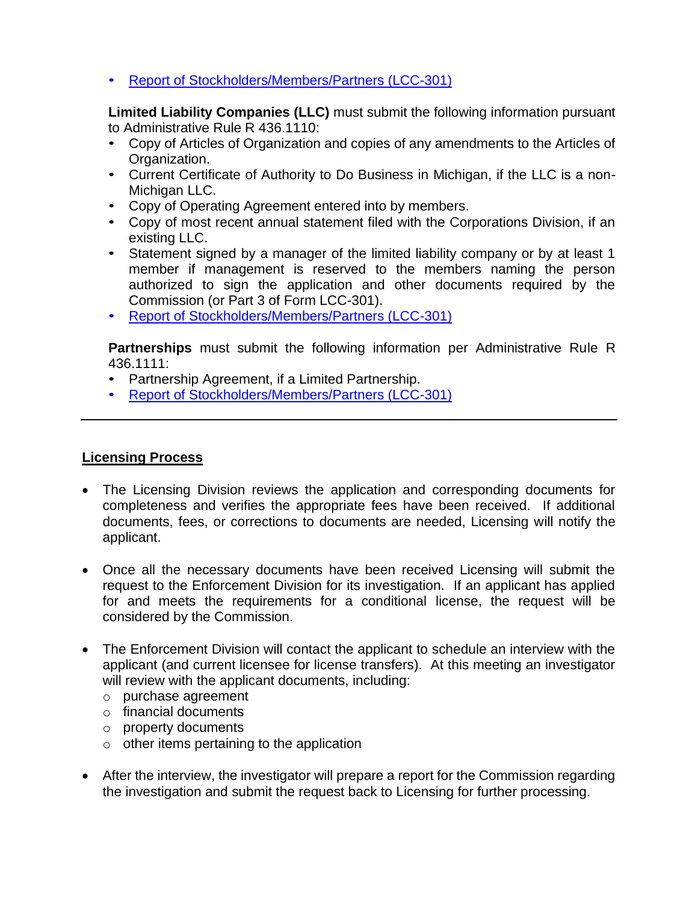• Report of [Stockholders/Members/Partners \(LCC-301\)](https://www.michigan.gov/lara/-/media/Project/Websites/lara/lcc/General-Forms/Report-of-Stockholders-Members-or-Partners-LCC301.pdf)

**Limited Liability Companies (LLC)** must submit the following information pursuant to Administrative Rule R 436.1110:

- Copy of Articles of Organization and copies of any amendments to the Articles of Organization.
- Current Certificate of Authority to Do Business in Michigan, if the LLC is a non-Michigan LLC.
- Copy of Operating Agreement entered into by members.
- Copy of most recent annual statement filed with the Corporations Division, if an existing LLC.
- Statement signed by a manager of the limited liability company or by at least 1 member if management is reserved to the members naming the person authorized to sign the application and other documents required by the Commission (or Part 3 of Form LCC-301).
- [Report of Stockholders/Members/Partners \(LCC-301\)](https://www.michigan.gov/lara/-/media/Project/Websites/lara/lcc/General-Forms/Report-of-Stockholders-Members-or-Partners-LCC301.pdf)

**Partnerships** must submit the following information per Administrative Rule R 436.1111:

- Partnership Agreement, if a Limited Partnership.
- [Report of Stockholders/Members/Partners \(LCC-301\)](https://www.michigan.gov/lara/-/media/Project/Websites/lara/lcc/General-Forms/Report-of-Stockholders-Members-or-Partners-LCC301.pdf)

### **Licensing Process**

- The Licensing Division reviews the application and corresponding documents for completeness and verifies the appropriate fees have been received. If additional documents, fees, or corrections to documents are needed, Licensing will notify the applicant.
- Once all the necessary documents have been received Licensing will submit the request to the Enforcement Division for its investigation. If an applicant has applied for and meets the requirements for a conditional license, the request will be considered by the Commission.
- The Enforcement Division will contact the applicant to schedule an interview with the applicant (and current licensee for license transfers). At this meeting an investigator will review with the applicant documents, including:
	- o purchase agreement
	- o financial documents
	- o property documents
	- o other items pertaining to the application
- After the interview, the investigator will prepare a report for the Commission regarding the investigation and submit the request back to Licensing for further processing.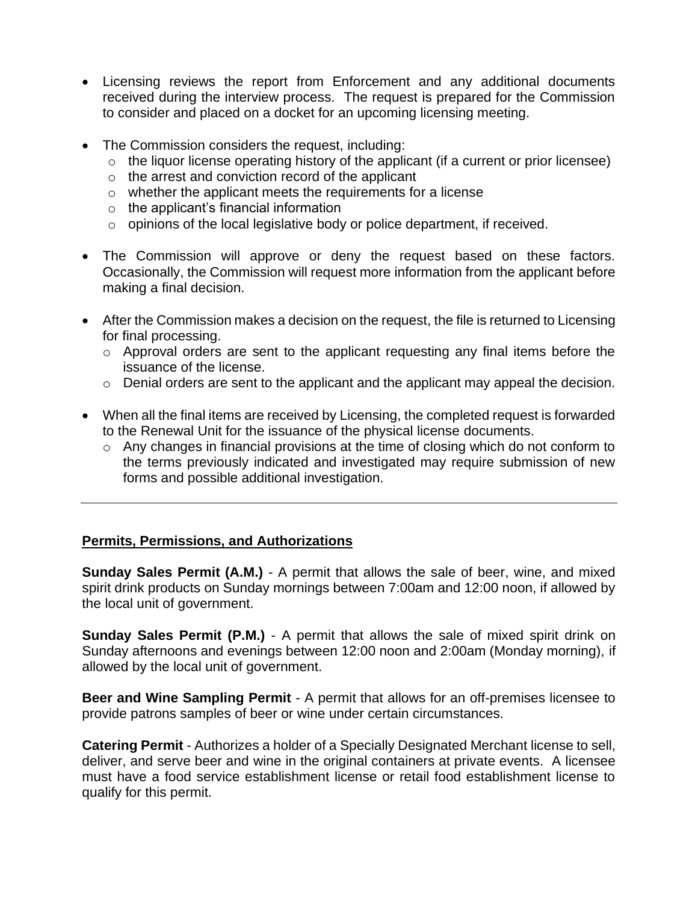- Licensing reviews the report from Enforcement and any additional documents received during the interview process. The request is prepared for the Commission to consider and placed on a docket for an upcoming licensing meeting.
- The Commission considers the request, including:
	- $\circ$  the liquor license operating history of the applicant (if a current or prior licensee)
	- o the arrest and conviction record of the applicant
	- o whether the applicant meets the requirements for a license
	- $\circ$  the applicant's financial information
	- o opinions of the local legislative body or police department, if received.
- The Commission will approve or deny the request based on these factors. Occasionally, the Commission will request more information from the applicant before making a final decision.
- After the Commission makes a decision on the request, the file is returned to Licensing for final processing.
	- o Approval orders are sent to the applicant requesting any final items before the issuance of the license.
	- o Denial orders are sent to the applicant and the applicant may appeal the decision.
- When all the final items are received by Licensing, the completed request is forwarded to the Renewal Unit for the issuance of the physical license documents.
	- o Any changes in financial provisions at the time of closing which do not conform to the terms previously indicated and investigated may require submission of new forms and possible additional investigation.

## **Permits, Permissions, and Authorizations**

**Sunday Sales Permit (A.M.)** - A permit that allows the sale of beer, wine, and mixed spirit drink products on Sunday mornings between 7:00am and 12:00 noon, if allowed by the local unit of government.

**Sunday Sales Permit (P.M.)** - A permit that allows the sale of mixed spirit drink on Sunday afternoons and evenings between 12:00 noon and 2:00am (Monday morning), if allowed by the local unit of government.

**Beer and Wine Sampling Permit** - A permit that allows for an off-premises licensee to provide patrons samples of beer or wine under certain circumstances.

**Catering Permit** - Authorizes a holder of a Specially Designated Merchant license to sell, deliver, and serve beer and wine in the original containers at private events. A licensee must have a food service establishment license or retail food establishment license to qualify for this permit.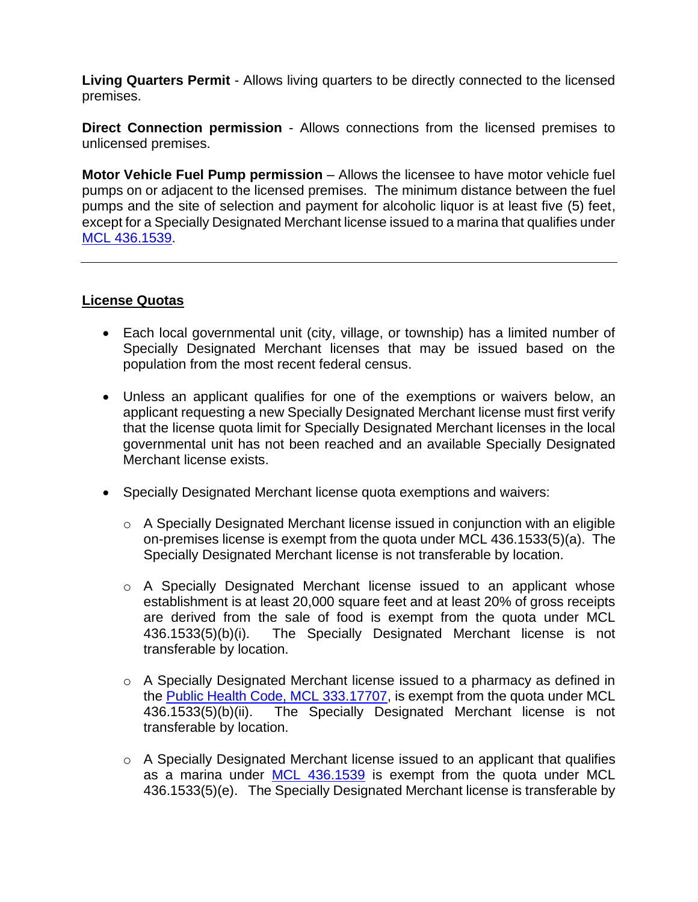**Living Quarters Permit** - Allows living quarters to be directly connected to the licensed premises.

**Direct Connection permission** - Allows connections from the licensed premises to unlicensed premises.

**Motor Vehicle Fuel Pump permission** – Allows the licensee to have motor vehicle fuel pumps on or adjacent to the licensed premises. The minimum distance between the fuel pumps and the site of selection and payment for alcoholic liquor is at least five (5) feet, except for a Specially Designated Merchant license issued to a marina that qualifies under [MCL 436.1539.](http://legislature.mi.gov/doc.aspx?mcl-436-1539)

### **License Quotas**

- Each local governmental unit (city, village, or township) has a limited number of Specially Designated Merchant licenses that may be issued based on the population from the most recent federal census.
- Unless an applicant qualifies for one of the exemptions or waivers below, an applicant requesting a new Specially Designated Merchant license must first verify that the license quota limit for Specially Designated Merchant licenses in the local governmental unit has not been reached and an available Specially Designated Merchant license exists.
- Specially Designated Merchant license quota exemptions and waivers:
	- $\circ$  A Specially Designated Merchant license issued in conjunction with an eligible on-premises license is exempt from the quota under MCL 436.1533(5)(a). The Specially Designated Merchant license is not transferable by location.
	- $\circ$  A Specially Designated Merchant license issued to an applicant whose establishment is at least 20,000 square feet and at least 20% of gross receipts are derived from the sale of food is exempt from the quota under MCL 436.1533(5)(b)(i). The Specially Designated Merchant license is not transferable by location.
	- o A Specially Designated Merchant license issued to a pharmacy as defined in the [Public Health Code, MCL 333.17707,](http://legislature.mi.gov/doc.aspx?mcl-333-17707) is exempt from the quota under MCL 436.1533(5)(b)(ii). The Specially Designated Merchant license is not transferable by location.
	- o A Specially Designated Merchant license issued to an applicant that qualifies as a marina under [MCL 436.1539](http://legislature.mi.gov/doc.aspx?mcl-436-1539) is exempt from the quota under MCL 436.1533(5)(e). The Specially Designated Merchant license is transferable by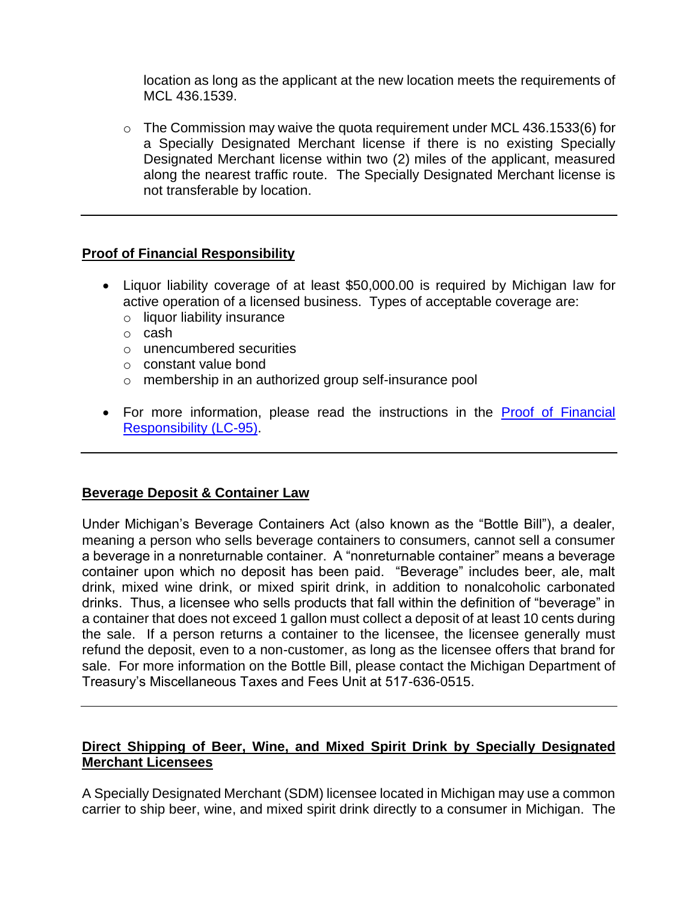location as long as the applicant at the new location meets the requirements of MCL 436.1539.

o The Commission may waive the quota requirement under MCL 436.1533(6) for a Specially Designated Merchant license if there is no existing Specially Designated Merchant license within two (2) miles of the applicant, measured along the nearest traffic route. The Specially Designated Merchant license is not transferable by location.

### **Proof of Financial Responsibility**

- Liquor liability coverage of at least \$50,000.00 is required by Michigan law for active operation of a licensed business. Types of acceptable coverage are:
	- o liquor liability insurance
	- o cash
	- o unencumbered securities
	- o constant value bond
	- o membership in an authorized group self-insurance pool
- For more information, please read the instructions in the Proof of Financial [Responsibility \(LC-95\).](https://www.michigan.gov/lara/-/media/Project/Websites/lara/lcc/General-Forms/Proof-of-Financial-Responsibility-LC95.pdf)

### **Beverage Deposit & Container Law**

Under Michigan's Beverage Containers Act (also known as the "Bottle Bill"), a dealer, meaning a person who sells beverage containers to consumers, cannot sell a consumer a beverage in a nonreturnable container. A "nonreturnable container" means a beverage container upon which no deposit has been paid. "Beverage" includes beer, ale, malt drink, mixed wine drink, or mixed spirit drink, in addition to nonalcoholic carbonated drinks. Thus, a licensee who sells products that fall within the definition of "beverage" in a container that does not exceed 1 gallon must collect a deposit of at least 10 cents during the sale. If a person returns a container to the licensee, the licensee generally must refund the deposit, even to a non-customer, as long as the licensee offers that brand for sale. For more information on the Bottle Bill, please contact the Michigan Department of Treasury's Miscellaneous Taxes and Fees Unit at 517-636-0515.

## **Direct Shipping of Beer, Wine, and Mixed Spirit Drink by Specially Designated Merchant Licensees**

A Specially Designated Merchant (SDM) licensee located in Michigan may use a common carrier to ship beer, wine, and mixed spirit drink directly to a consumer in Michigan. The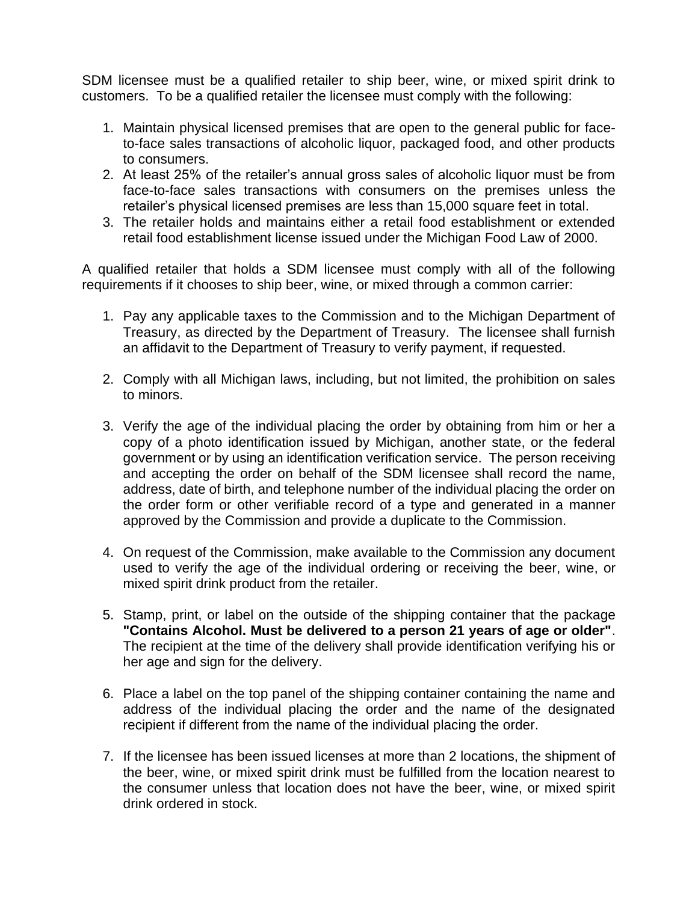SDM licensee must be a qualified retailer to ship beer, wine, or mixed spirit drink to customers. To be a qualified retailer the licensee must comply with the following:

- 1. Maintain physical licensed premises that are open to the general public for faceto-face sales transactions of alcoholic liquor, packaged food, and other products to consumers.
- 2. At least 25% of the retailer's annual gross sales of alcoholic liquor must be from face-to-face sales transactions with consumers on the premises unless the retailer's physical licensed premises are less than 15,000 square feet in total.
- 3. The retailer holds and maintains either a retail food establishment or extended retail food establishment license issued under the Michigan Food Law of 2000.

A qualified retailer that holds a SDM licensee must comply with all of the following requirements if it chooses to ship beer, wine, or mixed through a common carrier:

- 1. Pay any applicable taxes to the Commission and to the Michigan Department of Treasury, as directed by the Department of Treasury. The licensee shall furnish an affidavit to the Department of Treasury to verify payment, if requested.
- 2. Comply with all Michigan laws, including, but not limited, the prohibition on sales to minors.
- 3. Verify the age of the individual placing the order by obtaining from him or her a copy of a photo identification issued by Michigan, another state, or the federal government or by using an identification verification service. The person receiving and accepting the order on behalf of the SDM licensee shall record the name, address, date of birth, and telephone number of the individual placing the order on the order form or other verifiable record of a type and generated in a manner approved by the Commission and provide a duplicate to the Commission.
- 4. On request of the Commission, make available to the Commission any document used to verify the age of the individual ordering or receiving the beer, wine, or mixed spirit drink product from the retailer.
- 5. Stamp, print, or label on the outside of the shipping container that the package **"Contains Alcohol. Must be delivered to a person 21 years of age or older"**. The recipient at the time of the delivery shall provide identification verifying his or her age and sign for the delivery.
- 6. Place a label on the top panel of the shipping container containing the name and address of the individual placing the order and the name of the designated recipient if different from the name of the individual placing the order.
- 7. If the licensee has been issued licenses at more than 2 locations, the shipment of the beer, wine, or mixed spirit drink must be fulfilled from the location nearest to the consumer unless that location does not have the beer, wine, or mixed spirit drink ordered in stock.